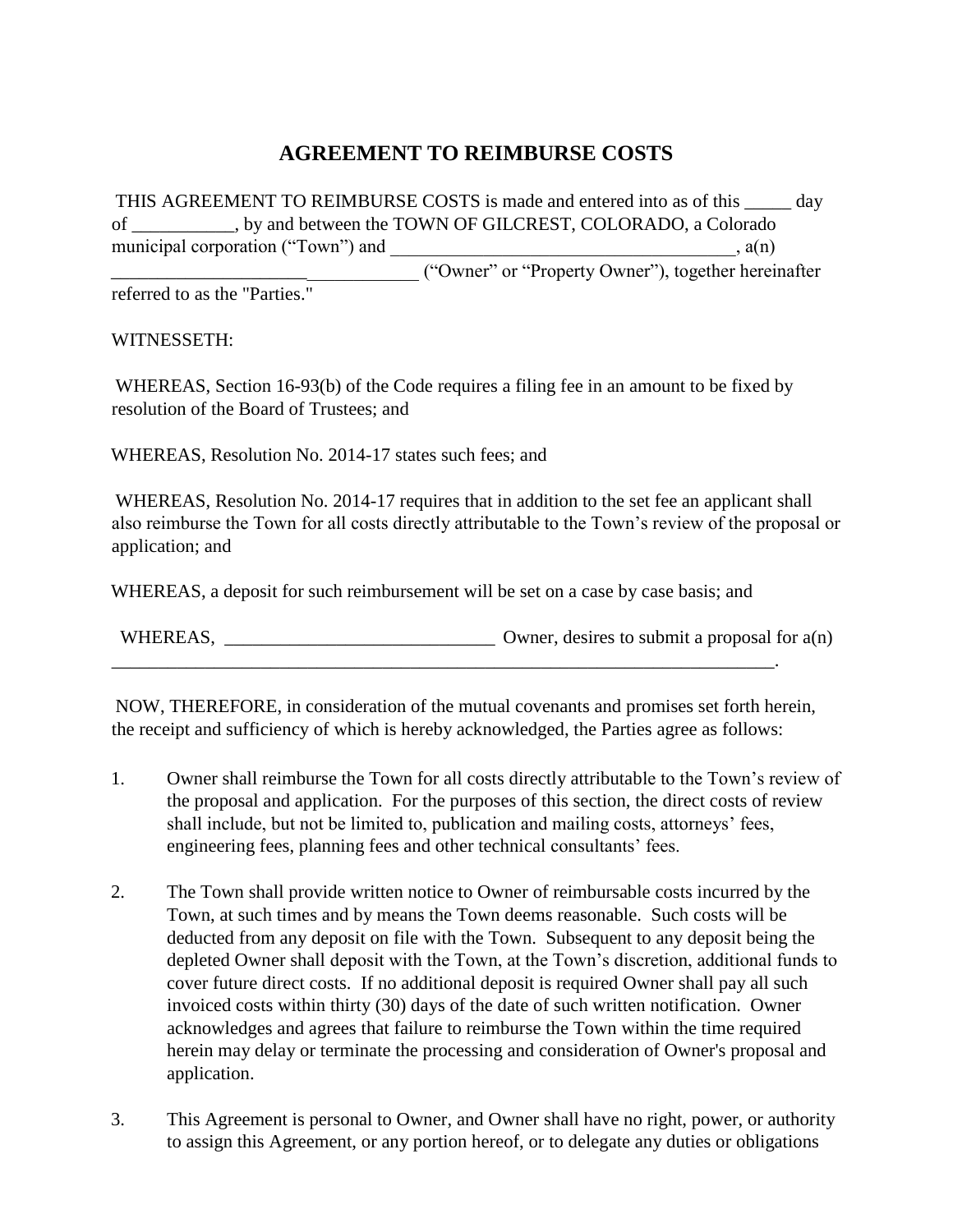## **AGREEMENT TO REIMBURSE COSTS**

THIS AGREEMENT TO REIMBURSE COSTS is made and entered into as of this day of \_\_\_\_\_\_\_\_\_\_\_, by and between the TOWN OF GILCREST, COLORADO, a Colorado municipal corporation ("Town") and  $a(n)$ \_\_\_\_\_\_\_\_\_\_\_\_\_\_\_\_\_\_\_\_\_\_\_\_\_\_\_\_\_\_\_\_\_ ("Owner" or "Property Owner"), together hereinafter

referred to as the "Parties."

WITNESSETH:

WHEREAS, Section 16-93(b) of the Code requires a filing fee in an amount to be fixed by resolution of the Board of Trustees; and

WHEREAS, Resolution No. 2014-17 states such fees; and

WHEREAS, Resolution No. 2014-17 requires that in addition to the set fee an applicant shall also reimburse the Town for all costs directly attributable to the Town's review of the proposal or application; and

WHEREAS, a deposit for such reimbursement will be set on a case by case basis; and

WHEREAS, \_\_\_\_\_\_\_\_\_\_\_\_\_\_\_\_\_\_\_\_\_\_\_\_\_\_\_\_\_ Owner, desires to submit a proposal for a(n)

NOW, THEREFORE, in consideration of the mutual covenants and promises set forth herein, the receipt and sufficiency of which is hereby acknowledged, the Parties agree as follows:

- 1. Owner shall reimburse the Town for all costs directly attributable to the Town's review of the proposal and application. For the purposes of this section, the direct costs of review shall include, but not be limited to, publication and mailing costs, attorneys' fees, engineering fees, planning fees and other technical consultants' fees.
- 2. The Town shall provide written notice to Owner of reimbursable costs incurred by the Town, at such times and by means the Town deems reasonable. Such costs will be deducted from any deposit on file with the Town. Subsequent to any deposit being the depleted Owner shall deposit with the Town, at the Town's discretion, additional funds to cover future direct costs. If no additional deposit is required Owner shall pay all such invoiced costs within thirty (30) days of the date of such written notification. Owner acknowledges and agrees that failure to reimburse the Town within the time required herein may delay or terminate the processing and consideration of Owner's proposal and application.
- 3. This Agreement is personal to Owner, and Owner shall have no right, power, or authority to assign this Agreement, or any portion hereof, or to delegate any duties or obligations